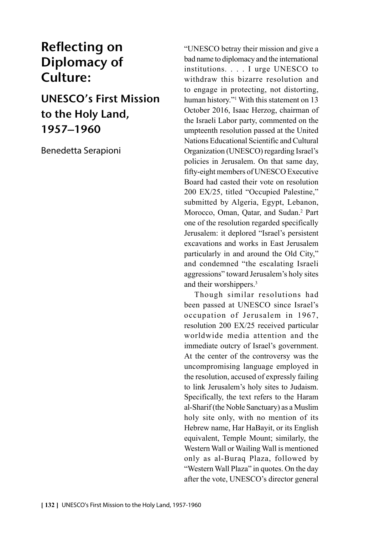# Reflecting on Diplomacy of Culture:

## UNESCO's First Mission to the Holy Land, 1957–1960

Benedetta Serapioni

"UNESCO betray their mission and give a bad name to diplomacy and the international institutions. . . . I urge UNESCO to withdraw this bizarre resolution and to engage in protecting, not distorting, human history."1 With this statement on 13 October 2016, Isaac Herzog, chairman of the Israeli Labor party, commented on the umpteenth resolution passed at the United Nations Educational Scientific and Cultural Organization (UNESCO) regarding Israel's policies in Jerusalem. On that same day, fifty-eight members of UNESCO Executive Board had casted their vote on resolution 200 EX/25, titled "Occupied Palestine," submitted by Algeria, Egypt, Lebanon, Morocco, Oman, Qatar, and Sudan.<sup>2</sup> Part one of the resolution regarded specifically Jerusalem: it deplored "Israel's persistent excavations and works in East Jerusalem particularly in and around the Old City," and condemned "the escalating Israeli aggressions" toward Jerusalem's holy sites and their worshippers.<sup>3</sup>

Though similar resolutions had been passed at UNESCO since Israel's occupation of Jerusalem in 1967, resolution 200 EX/25 received particular worldwide media attention and the immediate outcry of Israel's government. At the center of the controversy was the uncompromising language employed in the resolution, accused of expressly failing to link Jerusalem's holy sites to Judaism. Specifically, the text refers to the Haram al-Sharif (the Noble Sanctuary) as a Muslim holy site only, with no mention of its Hebrew name, Har HaBayit, or its English equivalent, Temple Mount; similarly, the Western Wall or Wailing Wall is mentioned only as al-Buraq Plaza, followed by "Western Wall Plaza" in quotes. On the day after the vote, UNESCO's director general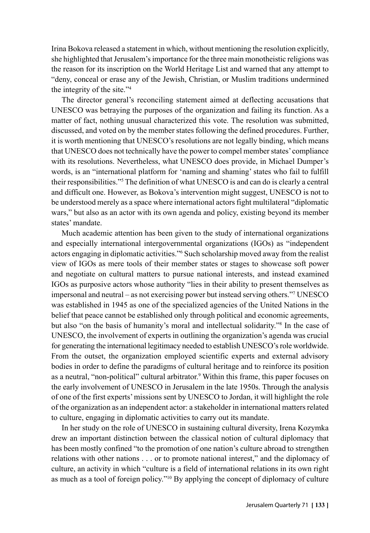Irina Bokova released a statement in which, without mentioning the resolution explicitly, she highlighted that Jerusalem's importance for the three main monotheistic religions was the reason for its inscription on the World Heritage List and warned that any attempt to "deny, conceal or erase any of the Jewish, Christian, or Muslim traditions undermined the integrity of the site."4

The director general's reconciling statement aimed at deflecting accusations that UNESCO was betraying the purposes of the organization and failing its function. As a matter of fact, nothing unusual characterized this vote. The resolution was submitted, discussed, and voted on by the member states following the defined procedures. Further, it is worth mentioning that UNESCO's resolutions are not legally binding, which means that UNESCO does not technically have the power to compel member states' compliance with its resolutions. Nevertheless, what UNESCO does provide, in Michael Dumper's words, is an "international platform for 'naming and shaming' states who fail to fulfill their responsibilities."5 The definition of what UNESCO is and can do is clearly a central and difficult one. However, as Bokova's intervention might suggest, UNESCO is not to be understood merely as a space where international actors fight multilateral "diplomatic wars," but also as an actor with its own agenda and policy, existing beyond its member states' mandate.

Much academic attention has been given to the study of international organizations and especially international intergovernmental organizations (IGOs) as "independent actors engaging in diplomatic activities."6 Such scholarship moved away from the realist view of IGOs as mere tools of their member states or stages to showcase soft power and negotiate on cultural matters to pursue national interests, and instead examined IGOs as purposive actors whose authority "lies in their ability to present themselves as impersonal and neutral – as not exercising power but instead serving others."7 UNESCO was established in 1945 as one of the specialized agencies of the United Nations in the belief that peace cannot be established only through political and economic agreements, but also "on the basis of humanity's moral and intellectual solidarity."8 In the case of UNESCO, the involvement of experts in outlining the organization's agenda was crucial for generating the international legitimacy needed to establish UNESCO's role worldwide. From the outset, the organization employed scientific experts and external advisory bodies in order to define the paradigms of cultural heritage and to reinforce its position as a neutral, "non-political" cultural arbitrator.<sup>9</sup> Within this frame, this paper focuses on the early involvement of UNESCO in Jerusalem in the late 1950s. Through the analysis of one of the first experts' missions sent by UNESCO to Jordan, it will highlight the role of the organization as an independent actor: a stakeholder in international matters related to culture, engaging in diplomatic activities to carry out its mandate.

In her study on the role of UNESCO in sustaining cultural diversity, Irena Kozymka drew an important distinction between the classical notion of cultural diplomacy that has been mostly confined "to the promotion of one nation's culture abroad to strengthen relations with other nations . . . or to promote national interest," and the diplomacy of culture, an activity in which "culture is a field of international relations in its own right as much as a tool of foreign policy."10 By applying the concept of diplomacy of culture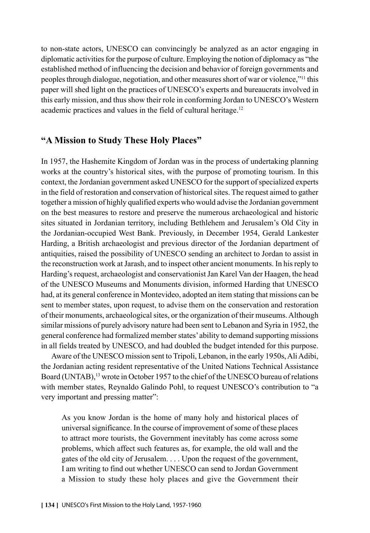to non-state actors, UNESCO can convincingly be analyzed as an actor engaging in diplomatic activities for the purpose of culture. Employing the notion of diplomacy as "the established method of influencing the decision and behavior of foreign governments and peoples through dialogue, negotiation, and other measures short of war or violence,"11 this paper will shed light on the practices of UNESCO's experts and bureaucrats involved in this early mission, and thus show their role in conforming Jordan to UNESCO's Western academic practices and values in the field of cultural heritage.12

### **"A Mission to Study These Holy Places"**

In 1957, the Hashemite Kingdom of Jordan was in the process of undertaking planning works at the country's historical sites, with the purpose of promoting tourism. In this context, the Jordanian government asked UNESCO for the support of specialized experts in the field of restoration and conservation of historical sites. The request aimed to gather together a mission of highly qualified experts who would advise the Jordanian government on the best measures to restore and preserve the numerous archaeological and historic sites situated in Jordanian territory, including Bethlehem and Jerusalem's Old City in the Jordanian-occupied West Bank. Previously, in December 1954, Gerald Lankester Harding, a British archaeologist and previous director of the Jordanian department of antiquities, raised the possibility of UNESCO sending an architect to Jordan to assist in the reconstruction work at Jarash, and to inspect other ancient monuments. In his reply to Harding's request, archaeologist and conservationist Jan Karel Van der Haagen, the head of the UNESCO Museums and Monuments division, informed Harding that UNESCO had, at its general conference in Montevideo, adopted an item stating that missions can be sent to member states, upon request, to advise them on the conservation and restoration of their monuments, archaeological sites, or the organization of their museums. Although similar missions of purely advisory nature had been sent to Lebanon and Syria in 1952, the general conference had formalized member states' ability to demand supporting missions in all fields treated by UNESCO, and had doubled the budget intended for this purpose.

Aware of the UNESCO mission sent to Tripoli, Lebanon, in the early 1950s, Ali Adibi, the Jordanian acting resident representative of the United Nations Technical Assistance Board (UNTAB),<sup>13</sup> wrote in October 1957 to the chief of the UNESCO bureau of relations with member states, Reynaldo Galindo Pohl, to request UNESCO's contribution to "a very important and pressing matter":

As you know Jordan is the home of many holy and historical places of universal significance. In the course of improvement of some of these places to attract more tourists, the Government inevitably has come across some problems, which affect such features as, for example, the old wall and the gates of the old city of Jerusalem. . . . Upon the request of the government, I am writing to find out whether UNESCO can send to Jordan Government a Mission to study these holy places and give the Government their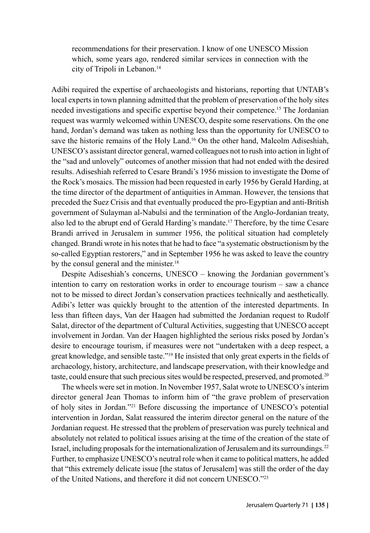recommendations for their preservation. I know of one UNESCO Mission which, some years ago, rendered similar services in connection with the city of Tripoli in Lebanon.<sup>14</sup>

Adibi required the expertise of archaeologists and historians, reporting that UNTAB's local experts in town planning admitted that the problem of preservation of the holy sites needed investigations and specific expertise beyond their competence.15 The Jordanian request was warmly welcomed within UNESCO, despite some reservations. On the one hand, Jordan's demand was taken as nothing less than the opportunity for UNESCO to save the historic remains of the Holy Land.16 On the other hand, Malcolm Adiseshiah, UNESCO's assistant director general, warned colleagues not to rush into action in light of the "sad and unlovely" outcomes of another mission that had not ended with the desired results. Adiseshiah referred to Cesare Brandi's 1956 mission to investigate the Dome of the Rock's mosaics. The mission had been requested in early 1956 by Gerald Harding, at the time director of the department of antiquities in Amman. However, the tensions that preceded the Suez Crisis and that eventually produced the pro-Egyptian and anti-British government of Sulayman al-Nabulsi and the termination of the Anglo-Jordanian treaty, also led to the abrupt end of Gerald Harding's mandate.17 Therefore, by the time Cesare Brandi arrived in Jerusalem in summer 1956, the political situation had completely changed. Brandi wrote in his notes that he had to face "a systematic obstructionism by the so-called Egyptian restorers," and in September 1956 he was asked to leave the country by the consul general and the minister.<sup>18</sup>

Despite Adiseshiah's concerns, UNESCO – knowing the Jordanian government's intention to carry on restoration works in order to encourage tourism – saw a chance not to be missed to direct Jordan's conservation practices technically and aesthetically. Adibi's letter was quickly brought to the attention of the interested departments. In less than fifteen days, Van der Haagen had submitted the Jordanian request to Rudolf Salat, director of the department of Cultural Activities, suggesting that UNESCO accept involvement in Jordan. Van der Haagen highlighted the serious risks posed by Jordan's desire to encourage tourism, if measures were not "undertaken with a deep respect, a great knowledge, and sensible taste."19 He insisted that only great experts in the fields of archaeology, history, architecture, and landscape preservation, with their knowledge and taste, could ensure that such precious sites would be respected, preserved, and promoted.<sup>20</sup>

The wheels were set in motion. In November 1957, Salat wrote to UNESCO's interim director general Jean Thomas to inform him of "the grave problem of preservation of holy sites in Jordan."21 Before discussing the importance of UNESCO's potential intervention in Jordan, Salat reassured the interim director general on the nature of the Jordanian request. He stressed that the problem of preservation was purely technical and absolutely not related to political issues arising at the time of the creation of the state of Israel, including proposals for the internationalization of Jerusalem and its surroundings.<sup>22</sup> Further, to emphasize UNESCO's neutral role when it came to political matters, he added that "this extremely delicate issue [the status of Jerusalem] was still the order of the day of the United Nations, and therefore it did not concern UNESCO."23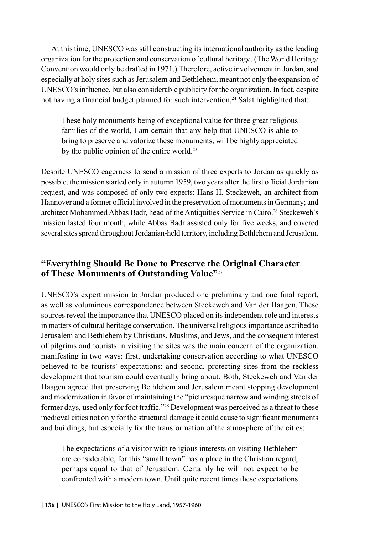At this time, UNESCO was still constructing its international authority as the leading organization for the protection and conservation of cultural heritage. (The World Heritage Convention would only be drafted in 1971.) Therefore, active involvement in Jordan, and especially at holy sites such as Jerusalem and Bethlehem, meant not only the expansion of UNESCO's influence, but also considerable publicity for the organization. In fact, despite not having a financial budget planned for such intervention,<sup>24</sup> Salat highlighted that:

These holy monuments being of exceptional value for three great religious families of the world, I am certain that any help that UNESCO is able to bring to preserve and valorize these monuments, will be highly appreciated by the public opinion of the entire world.<sup>25</sup>

Despite UNESCO eagerness to send a mission of three experts to Jordan as quickly as possible, the mission started only in autumn 1959, two years after the first official Jordanian request, and was composed of only two experts: Hans H. Steckeweh, an architect from Hannover and a former official involved in the preservation of monuments in Germany; and architect Mohammed Abbas Badr, head of the Antiquities Service in Cairo.26 Steckeweh's mission lasted four month, while Abbas Badr assisted only for five weeks, and covered several sites spread throughout Jordanian-held territory, including Bethlehem and Jerusalem.

### **"Everything Should Be Done to Preserve the Original Character of These Monuments of Outstanding Value"**<sup>27</sup>

UNESCO's expert mission to Jordan produced one preliminary and one final report, as well as voluminous correspondence between Steckeweh and Van der Haagen. These sources reveal the importance that UNESCO placed on its independent role and interests in matters of cultural heritage conservation. The universal religious importance ascribed to Jerusalem and Bethlehem by Christians, Muslims, and Jews, and the consequent interest of pilgrims and tourists in visiting the sites was the main concern of the organization, manifesting in two ways: first, undertaking conservation according to what UNESCO believed to be tourists' expectations; and second, protecting sites from the reckless development that tourism could eventually bring about. Both, Steckeweh and Van der Haagen agreed that preserving Bethlehem and Jerusalem meant stopping development and modernization in favor of maintaining the "picturesque narrow and winding streets of former days, used only for foot traffic."28 Development was perceived as a threat to these medieval cities not only for the structural damage it could cause to significant monuments and buildings, but especially for the transformation of the atmosphere of the cities:

The expectations of a visitor with religious interests on visiting Bethlehem are considerable, for this "small town" has a place in the Christian regard, perhaps equal to that of Jerusalem. Certainly he will not expect to be confronted with a modern town. Until quite recent times these expectations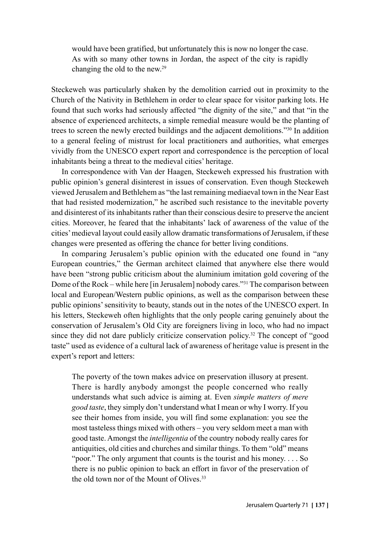would have been gratified, but unfortunately this is now no longer the case. As with so many other towns in Jordan, the aspect of the city is rapidly changing the old to the new.29

Steckeweh was particularly shaken by the demolition carried out in proximity to the Church of the Nativity in Bethlehem in order to clear space for visitor parking lots. He found that such works had seriously affected "the dignity of the site," and that "in the absence of experienced architects, a simple remedial measure would be the planting of trees to screen the newly erected buildings and the adjacent demolitions."30 In addition to a general feeling of mistrust for local practitioners and authorities, what emerges vividly from the UNESCO expert report and correspondence is the perception of local inhabitants being a threat to the medieval cities' heritage.

In correspondence with Van der Haagen, Steckeweh expressed his frustration with public opinion's general disinterest in issues of conservation. Even though Steckeweh viewed Jerusalem and Bethlehem as "the last remaining mediaeval town in the Near East that had resisted modernization," he ascribed such resistance to the inevitable poverty and disinterest of its inhabitants rather than their conscious desire to preserve the ancient cities. Moreover, he feared that the inhabitants' lack of awareness of the value of the cities' medieval layout could easily allow dramatic transformations of Jerusalem, if these changes were presented as offering the chance for better living conditions.

In comparing Jerusalem's public opinion with the educated one found in "any European countries," the German architect claimed that anywhere else there would have been "strong public criticism about the aluminium imitation gold covering of the Dome of the Rock – while here [in Jerusalem] nobody cares."31 The comparison between local and European/Western public opinions, as well as the comparison between these public opinions' sensitivity to beauty, stands out in the notes of the UNESCO expert. In his letters, Steckeweh often highlights that the only people caring genuinely about the conservation of Jerusalem's Old City are foreigners living in loco, who had no impact since they did not dare publicly criticize conservation policy.<sup>32</sup> The concept of "good taste" used as evidence of a cultural lack of awareness of heritage value is present in the expert's report and letters:

The poverty of the town makes advice on preservation illusory at present. There is hardly anybody amongst the people concerned who really understands what such advice is aiming at. Even *simple matters of mere good taste*, they simply don't understand what I mean or why I worry. If you see their homes from inside, you will find some explanation: you see the most tasteless things mixed with others – you very seldom meet a man with good taste. Amongst the *intelligentia* of the country nobody really cares for antiquities, old cities and churches and similar things. To them "old" means "poor." The only argument that counts is the tourist and his money. . . . So there is no public opinion to back an effort in favor of the preservation of the old town nor of the Mount of Olives. $33$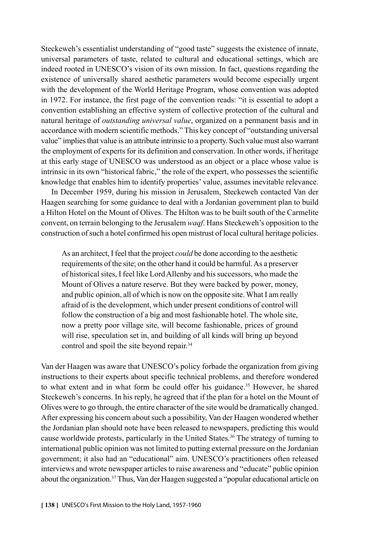Steckeweh's essentialist understanding of "good taste" suggests the existence of innate, universal parameters of taste, related to cultural and educational settings, which are indeed rooted in UNESCO's vision of its own mission. In fact, questions regarding the existence of universally shared aesthetic parameters would become especially urgent with the development of the World Heritage Program, whose convention was adopted in 1972. For instance, the first page of the convention reads: "it is essential to adopt a convention establishing an effective system of collective protection of the cultural and natural heritage of *outstanding universal value*, organized on a permanent basis and in accordance with modern scientific methods." This key concept of "outstanding universal value" implies that value is an attribute intrinsic to a property. Such value must also warrant the employment of experts for its definition and conservation. In other words, if heritage at this early stage of UNESCO was understood as an object or a place whose value is intrinsic in its own "historical fabric," the role of the expert, who possesses the scientific knowledge that enables him to identify properties' value, assumes inevitable relevance.

In December 1959, during his mission in Jerusalem, Steckeweh contacted Van der Haagen searching for some guidance to deal with a Jordanian government plan to build a Hilton Hotel on the Mount of Olives. The Hilton was to be built south of the Carmelite convent, on terrain belonging to the Jerusalem *waqf*. Hans Steckeweh's opposition to the construction of such a hotel confirmed his open mistrust of local cultural heritage policies.

As an architect, I feel that the project *could* be done according to the aesthetic requirements of the site; on the other hand it could be harmful. As a preserver of historical sites, I feel like Lord Allenby and his successors, who made the Mount of Olives a nature reserve. But they were backed by power, money, and public opinion, all of which is now on the opposite site. What I am really afraid of is the development, which under present conditions of control will follow the construction of a big and most fashionable hotel. The whole site, now a pretty poor village site, will become fashionable, prices of ground will rise, speculation set in, and building of all kinds will bring up beyond control and spoil the site beyond repair.<sup>34</sup>

Van der Haagen was aware that UNESCO's policy forbade the organization from giving instructions to their experts about specific technical problems, and therefore wondered to what extent and in what form he could offer his guidance.<sup>35</sup> However, he shared Steckeweh's concerns. In his reply, he agreed that if the plan for a hotel on the Mount of Olives were to go through, the entire character of the site would be dramatically changed. After expressing his concern about such a possibility, Van der Haagen wondered whether the Jordanian plan should note have been released to newspapers, predicting this would cause worldwide protests, particularly in the United States.<sup>36</sup> The strategy of turning to international public opinion was not limited to putting external pressure on the Jordanian government; it also had an "educational" aim. UNESCO's practitioners often released interviews and wrote newspaper articles to raise awareness and "educate" public opinion about the organization.<sup>37</sup> Thus, Van der Haagen suggested a "popular educational article on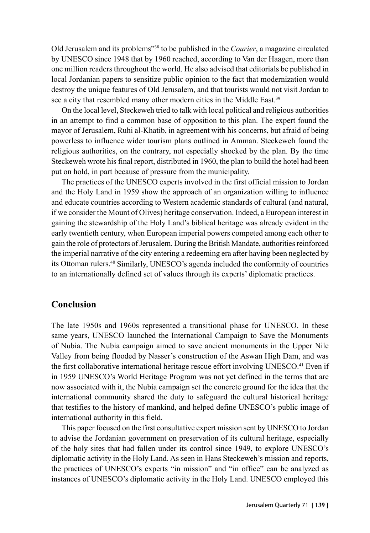Old Jerusalem and its problems"38 to be published in the *Courier*, a magazine circulated by UNESCO since 1948 that by 1960 reached, according to Van der Haagen, more than one million readers throughout the world. He also advised that editorials be published in local Jordanian papers to sensitize public opinion to the fact that modernization would destroy the unique features of Old Jerusalem, and that tourists would not visit Jordan to see a city that resembled many other modern cities in the Middle East.<sup>39</sup>

On the local level, Steckeweh tried to talk with local political and religious authorities in an attempt to find a common base of opposition to this plan. The expert found the mayor of Jerusalem, Ruhi al-Khatib, in agreement with his concerns, but afraid of being powerless to influence wider tourism plans outlined in Amman. Steckeweh found the religious authorities, on the contrary, not especially shocked by the plan. By the time Steckeweh wrote his final report, distributed in 1960, the plan to build the hotel had been put on hold, in part because of pressure from the municipality.

The practices of the UNESCO experts involved in the first official mission to Jordan and the Holy Land in 1959 show the approach of an organization willing to influence and educate countries according to Western academic standards of cultural (and natural, if we consider the Mount of Olives) heritage conservation. Indeed, a European interest in gaining the stewardship of the Holy Land's biblical heritage was already evident in the early twentieth century, when European imperial powers competed among each other to gain the role of protectors of Jerusalem. During the British Mandate, authorities reinforced the imperial narrative of the city entering a redeeming era after having been neglected by its Ottoman rulers.40 Similarly, UNESCO's agenda included the conformity of countries to an internationally defined set of values through its experts' diplomatic practices.

#### **Conclusion**

The late 1950s and 1960s represented a transitional phase for UNESCO. In these same years, UNESCO launched the International Campaign to Save the Monuments of Nubia. The Nubia campaign aimed to save ancient monuments in the Upper Nile Valley from being flooded by Nasser's construction of the Aswan High Dam, and was the first collaborative international heritage rescue effort involving UNESCO.41 Even if in 1959 UNESCO's World Heritage Program was not yet defined in the terms that are now associated with it, the Nubia campaign set the concrete ground for the idea that the international community shared the duty to safeguard the cultural historical heritage that testifies to the history of mankind, and helped define UNESCO's public image of international authority in this field.

This paper focused on the first consultative expert mission sent by UNESCO to Jordan to advise the Jordanian government on preservation of its cultural heritage, especially of the holy sites that had fallen under its control since 1949, to explore UNESCO's diplomatic activity in the Holy Land. As seen in Hans Steckeweh's mission and reports, the practices of UNESCO's experts "in mission" and "in office" can be analyzed as instances of UNESCO's diplomatic activity in the Holy Land. UNESCO employed this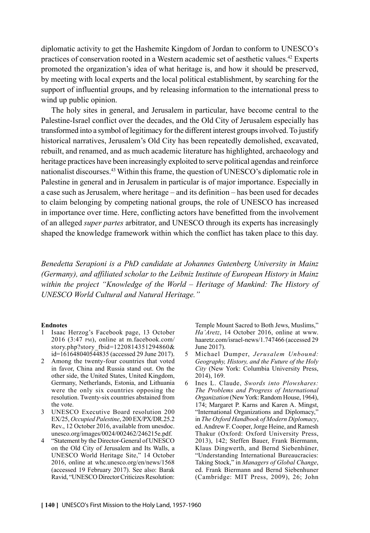diplomatic activity to get the Hashemite Kingdom of Jordan to conform to UNESCO's practices of conservation rooted in a Western academic set of aesthetic values.42 Experts promoted the organization's idea of what heritage is, and how it should be preserved, by meeting with local experts and the local political establishment, by searching for the support of influential groups, and by releasing information to the international press to wind up public opinion.

The holy sites in general, and Jerusalem in particular, have become central to the Palestine-Israel conflict over the decades, and the Old City of Jerusalem especially has transformed into a symbol of legitimacy for the different interest groups involved. To justify historical narratives, Jerusalem's Old City has been repeatedly demolished, excavated, rebuilt, and renamed, and as much academic literature has highlighted, archaeology and heritage practices have been increasingly exploited to serve political agendas and reinforce nationalist discourses.43 Within this frame, the question of UNESCO's diplomatic role in Palestine in general and in Jerusalem in particular is of major importance. Especially in a case such as Jerusalem, where heritage – and its definition – has been used for decades to claim belonging by competing national groups, the role of UNESCO has increased in importance over time. Here, conflicting actors have benefitted from the involvement of an alleged *super partes* arbitrator, and UNESCO through its experts has increasingly shaped the knowledge framework within which the conflict has taken place to this day.

*Benedetta Serapioni is a PhD candidate at Johannes Gutenberg University in Mainz (Germany), and affiliated scholar to the Leibniz Institute of European History in Mainz within the project "Knowledge of the World – Heritage of Mankind: The History of UNESCO World Cultural and Natural Heritage."*

#### **Endnotes**

- 1 Isaac Herzog's Facebook page, 13 October 2016 (3:47 pm), online at m.facebook.com/ story.php?story\_fbid=1220814351294860& id=161648040544835 (accessed 29 June 2017).
- 2 Among the twenty-four countries that voted in favor, China and Russia stand out. On the other side, the United States, United Kingdom, Germany, Netherlands, Estonia, and Lithuania were the only six countries opposing the resolution. Twenty-six countries abstained from the vote.
- 3 UNESCO Executive Board resolution 200 EX/25, *Occupied Palestine*, 200 EX/PX/DR.25.2 Rev., 12 October 2016, available from unesdoc. unesco.org/images/0024/002462/246215e.pdf.
- 4 "Statement by the Director-General of UNESCO on the Old City of Jerusalem and Its Walls, a UNESCO World Heritage Site," 14 October 2016, online at whc.unesco.org/en/news/1568 (accessed 19 February 2017). See also: Barak Ravid, "UNESCO Director Criticizes Resolution:

Temple Mount Sacred to Both Jews, Muslims," *Ha'Aretz*, 14 October 2016, online at www. haaretz.com/israel-news/1.747466 (accessed 29 June 2017).

- 5 Michael Dumper, *Jerusalem Unbound: Geography, History, and the Future of the Holy City* (New York: Columbia University Press, 2014), 169.
- 6 Ines L. Claude, *Swords into Plowshares: The Problems and Progress of International Organization* (New York: Random House, 1964), 174; Margaret P. Karns and Karen A. Mingst, "International Organizations and Diplomacy," in *The Oxford Handbook of Modern Diplomacy*, ed. Andrew F. Cooper, Jorge Heine, and Ramesh Thakur (Oxford: Oxford University Press, 2013), 142; Steffen Bauer, Frank Biermann, Klaus Dingwerth, and Bernd Siebenhüner, "Understanding International Bureaucracies: Taking Stock," in *Managers of Global Change*, ed. Frank Biermann and Bernd Siebenhuner (Cambridge: MIT Press, 2009), 26; John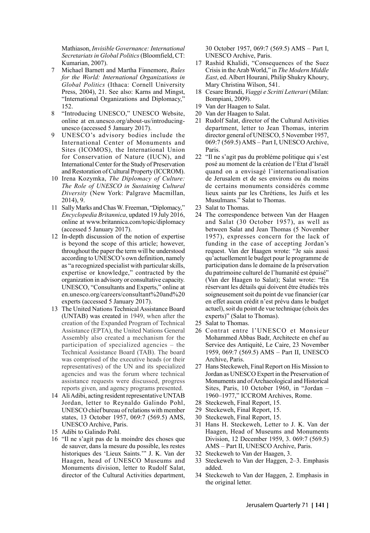Mathiason, *Invisible Governance: International Secretariats in Global Politics* (Bloomfield, CT: Kumarian, 2007).

- 7 Michael Barnett and Martha Finnemore, *Rules for the World: International Organizations in Global Politics* (Ithaca: Cornell University Press, 2004), 21. See also: Karns and Mingst, "International Organizations and Diplomacy," 152.
- 8 "Introducing UNESCO," UNESCO Website, online at en.unesco.org/about-us/introducingunesco (accessed 5 January 2017).
- UNESCO's advisory bodies include the International Center of Monuments and Sites (ICOMOS), the International Union for Conservation of Nature (IUCN), and International Center for the Study of Preservation and Restoration of Cultural Property (ICCROM).
- 10 Irena Kozymka, *The Diplomacy of Culture: The Role of UNESCO in Sustaining Cultural Diversity* (New York: Palgrave Macmillan, 2014), 9.
- 11 Sally Marks and Chas W. Freeman, "Diplomacy," *Encyclopedia Britannica*, updated 19 July 2016, online at www.britannica.com/topic/diplomacy (accessed 5 January 2017).
- 12 In-depth discussion of the notion of expertise is beyond the scope of this article; however, throughout the paper the term will be understood according to UNESCO's own definition, namely as "a recognized specialist with particular skills, expertise or knowledge," contracted by the organization in advisory or consultative capacity. UNESCO, "Consultants and Experts," online at en.unesco.org/careers/consultant%20and%20 experts (accessed 5 January 2017).
- 13 The United Nations Technical Assistance Board (UNTAB) was created in 1949, when after the creation of the Expanded Program of Technical Assistance (EPTA), the United Nations General Assembly also created a mechanism for the participation of specialized agencies – the Technical Assistance Board (TAB). The board was comprised of the executive heads (or their representatives) of the UN and its specialized agencies and was the forum where technical assistance requests were discussed, progress reports given, and agency programs presented.
- 14 Ali Adibi, acting resident representative UNTAB Jordan, letter to Reynaldo Galindo Pohl, UNESCO chief bureau of relations with member states, 13 October 1957, 069:7 (569.5) AMS, UNESCO Archive, Paris.
- 15 Adibi to Galindo Pohl.
- 16 "Il ne s'agit pas de la moindre des choses que de sauver, dans la mesure du possible, les restes historiques des 'Lieux Saints.'" J. K. Van der Haagen, head of UNESCO Museums and Monuments division, letter to Rudolf Salat, director of the Cultural Activities department,

30 October 1957, 069:7 (569.5) AMS – Part I, UNESCO Archive, Paris.

- 17 Rashid Khalidi, "Consequences of the Suez Crisis in the Arab World," in *The Modern Middle East*, ed. Albert Hourani, Philip Shukry Khoury, Mary Christina Wilson, 541.
- 18 Cesare Brandi, *Viaggi e Scritti Letterari* (Milan: Bompiani, 2009).
- 19 Van der Haagen to Salat.
- 20 Van der Haagen to Salat.
- 21 Rudolf Salat, director of the Cultural Activities department, letter to Jean Thomas, interim director general of UNESCO, 5 November 1957, 069:7 (569.5) AMS – Part I, UNESCO Archive, Paris.
- 22 "Il ne s'agit pas du probléme politique qui s'est posé au moment de la création de l'Etat d'Israël quand on a envisagé l'internationalisation de Jerusalem et de ses environs ou du moins de certains monuments considérés comme lieux saints par les Chrétiens, les Juifs et les Musulmans." Salat to Thomas.
- 23 Salat to Thomas.
- 24 The correspondence between Van der Haagen and Salat (30 October 1957), as well as between Salat and Jean Thomas (5 November 1957), expresses concern for the lack of funding in the case of accepting Jordan's request. Van der Haagen wrote: "Je sais aussi qu'actuellement le budget pour le programme de participation dans le domaine de la préservation du patrimoine culturel de l'humanité est épuisé" (Van der Haagen to Salat); Salat wrote: "En réservant les détails qui doivent être étudiés très soigneusement soit du point de vue financier (car en effet aucun crédit n'est prévu dans le budget actuel), soit du point de vue technique (choix des experts)" (Salat to Thomas).
- 25 Salat to Thomas.
- 26 Contrat entre l'UNESCO et Monsieur Mohammed Abbas Badr, Architecte en chef au Service des Antiquité, Le Caire, 23 November 1959, 069:7 (569.5) AMS – Part II, UNESCO Archive, Paris.
- 27 Hans Steckeweh, Final Report on His Mission to Jordan as UNESCO Expert in the Preservation of Monuments and of Archaeological and Historical Sites, Paris, 10 October 1960, in "Jordan – 1960–1977," ICCROM Archives, Rome.
- 28 Steckeweh, Final Report, 15.
- 29 Steckeweh, Final Report, 15.
- 30 Steckeweh, Final Report, 15.
- 31 Hans H. Steckeweh, Letter to J. K. Van der Haagen, Head of Museums and Monuments Division, 12 December 1959, 3. 069:7 (569.5) AMS – Part II, UNESCO Archive, Paris.
- 32 Steckeweh to Van der Haagen, 3.
- 33 Steckeweh to Van der Haggen, 2–3. Emphasis added.
- 34 Steckeweh to Van der Haggen, 2. Emphasis in the original letter.